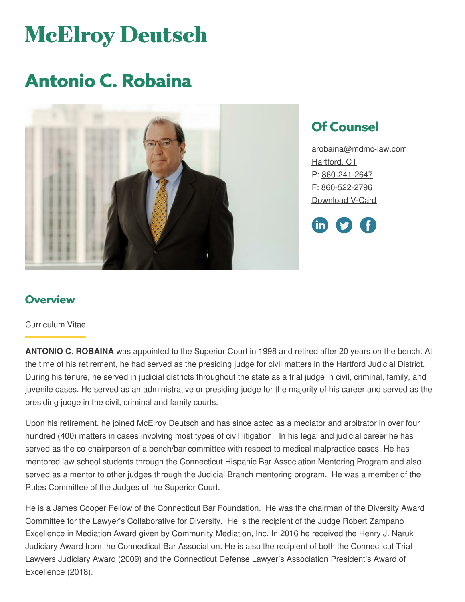# **McElroy Deutsch**

## **Antonio C. Robaina**



### **Of Counsel**

[arobaina@mdmc-law.com](mailto:arobaina@mdmc-law.com) [Hartford,](https://www.mdmc-law.com/offices/hartford) CT P: [860-241-2647](tel:860-241-2647) F: [860-522-2796](tel:860-522-2796) [Download](https://www.mdmc-law.com/node/534/vcard) V-Card



#### **Overview**

#### Curriculum Vitae

**ANTONIO C. ROBAINA** was appointed to the Superior Court in 1998 and retired after 20 years on the bench. At the time of his retirement, he had served as the presiding judge for civil matters in the Hartford Judicial District. During his tenure, he served in judicial districts throughout the state as a trial judge in civil, criminal, family, and juvenile cases. He served as an administrative or presiding judge for the majority of his career and served as the presiding judge in the civil, criminal and family courts.

Upon his retirement, he joined McElroy Deutsch and has since acted as a mediator and arbitrator in over four hundred (400) matters in cases involving most types of civil litigation. In his legal and judicial career he has served as the co-chairperson of a bench/bar committee with respect to medical malpractice cases. He has mentored law school students through the Connecticut Hispanic Bar Association Mentoring Program and also served as a mentor to other judges through the Judicial Branch mentoring program. He was a member of the Rules Committee of the Judges of the Superior Court.

He is a James Cooper Fellow of the Connecticut Bar Foundation. He was the chairman of the Diversity Award Committee for the Lawyer's Collaborative for Diversity. He is the recipient of the Judge Robert Zampano Excellence in Mediation Award given by Community Mediation, Inc. In 2016 he received the Henry J. Naruk Judiciary Award from the Connecticut Bar Association. He is also the recipient of both the Connecticut Trial Lawyers Judiciary Award (2009) and the Connecticut Defense Lawyer's Association President's Award of Excellence (2018).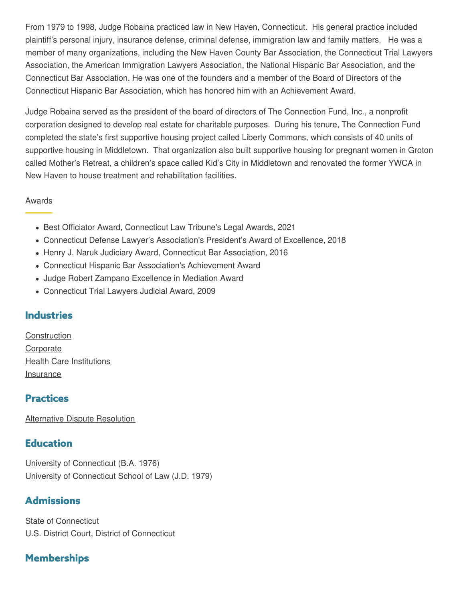From 1979 to 1998, Judge Robaina practiced law in New Haven, Connecticut. His general practice included plaintiff's personal injury, insurance defense, criminal defense, immigration law and family matters. He was a member of many organizations, including the New Haven County Bar Association, the Connecticut Trial Lawyers Association, the American Immigration Lawyers Association, the National Hispanic Bar Association, and the Connecticut Bar Association. He was one of the founders and a member of the Board of Directors of the Connecticut Hispanic Bar Association, which has honored him with an Achievement Award.

Judge Robaina served as the president of the board of directors of The Connection Fund, Inc., a nonprofit corporation designed to develop real estate for charitable purposes. During his tenure, The Connection Fund completed the state's first supportive housing project called Liberty Commons, which consists of 40 units of supportive housing in Middletown. That organization also built supportive housing for pregnant women in Groton called Mother's Retreat, a children's space called Kid's City in Middletown and renovated the former YWCA in New Haven to house treatment and rehabilitation facilities.

#### Awards

- Best Officiator Award, Connecticut Law Tribune's Legal Awards, 2021
- Connecticut Defense Lawyer's Association's President's Award of Excellence, 2018
- Henry J. Naruk Judiciary Award, Connecticut Bar Association, 2016
- Connecticut Hispanic Bar Association's Achievement Award
- Judge Robert Zampano Excellence in Mediation Award
- Connecticut Trial Lawyers Judicial Award, 2009

#### **Industries**

**[Construction](https://www.mdmc-law.com/industries/construction) [Corporate](https://www.mdmc-law.com/industries/corporate)** Health Care [Institutions](https://www.mdmc-law.com/industries/health-care-institutions) [Insurance](https://www.mdmc-law.com/industries/insurance)

#### **Practices**

[Alternative](https://www.mdmc-law.com/practices/alternative-dispute-resolution) Dispute Resolution

#### **Education**

University of Connecticut (B.A. 1976) University of Connecticut School of Law (J.D. 1979)

#### **Admissions**

State of Connecticut U.S. District Court, District of Connecticut

#### **Memberships**